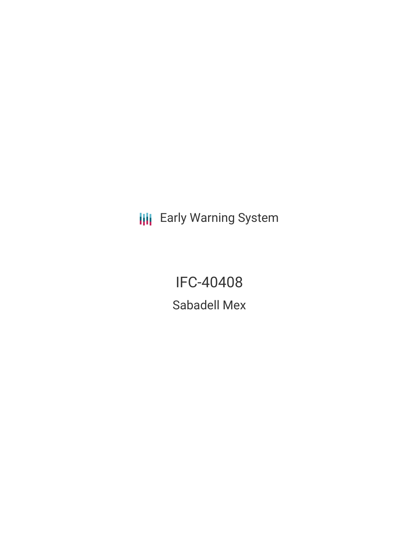**III** Early Warning System

IFC-40408 Sabadell Mex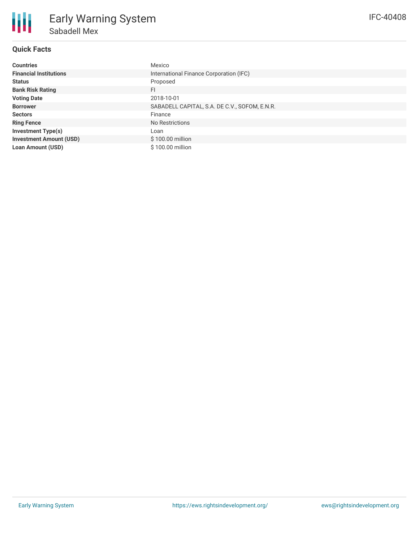

## **Quick Facts**

| <b>Countries</b>               | Mexico                                        |
|--------------------------------|-----------------------------------------------|
| <b>Financial Institutions</b>  | International Finance Corporation (IFC)       |
| <b>Status</b>                  | Proposed                                      |
| <b>Bank Risk Rating</b>        | <b>FI</b>                                     |
| <b>Voting Date</b>             | 2018-10-01                                    |
| <b>Borrower</b>                | SABADELL CAPITAL, S.A. DE C.V., SOFOM, E.N.R. |
| <b>Sectors</b>                 | Finance                                       |
| <b>Ring Fence</b>              | No Restrictions                               |
| <b>Investment Type(s)</b>      | Loan                                          |
| <b>Investment Amount (USD)</b> | \$100.00 million                              |
| <b>Loan Amount (USD)</b>       | \$100.00 million                              |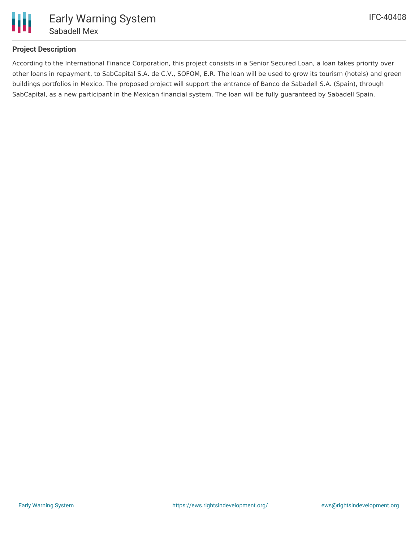

#### **Project Description**

According to the International Finance Corporation, this project consists in a Senior Secured Loan, a loan takes priority over other loans in repayment, to SabCapital S.A. de C.V., SOFOM, E.R. The loan will be used to grow its tourism (hotels) and green buildings portfolios in Mexico. The proposed project will support the entrance of Banco de Sabadell S.A. (Spain), through SabCapital, as a new participant in the Mexican financial system. The loan will be fully guaranteed by Sabadell Spain.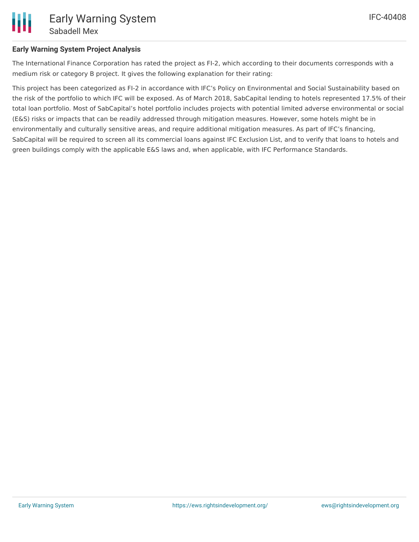#### **Early Warning System Project Analysis**

The International Finance Corporation has rated the project as FI-2, which according to their documents corresponds with a medium risk or category B project. It gives the following explanation for their rating:

This project has been categorized as FI-2 in accordance with IFC's Policy on Environmental and Social Sustainability based on the risk of the portfolio to which IFC will be exposed. As of March 2018, SabCapital lending to hotels represented 17.5% of their total loan portfolio. Most of SabCapital's hotel portfolio includes projects with potential limited adverse environmental or social (E&S) risks or impacts that can be readily addressed through mitigation measures. However, some hotels might be in environmentally and culturally sensitive areas, and require additional mitigation measures. As part of IFC's financing, SabCapital will be required to screen all its commercial loans against IFC Exclusion List, and to verify that loans to hotels and green buildings comply with the applicable E&S laws and, when applicable, with IFC Performance Standards.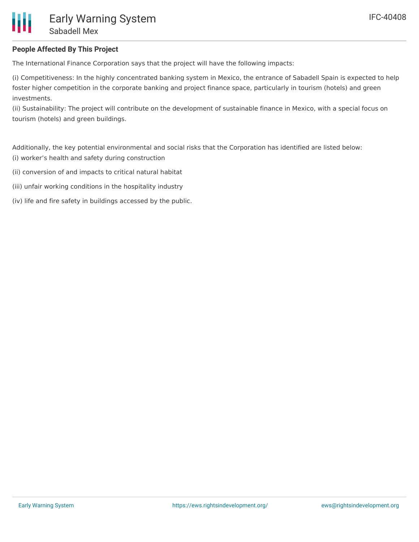### **People Affected By This Project**

The International Finance Corporation says that the project will have the following impacts:

(i) Competitiveness: In the highly concentrated banking system in Mexico, the entrance of Sabadell Spain is expected to help foster higher competition in the corporate banking and project finance space, particularly in tourism (hotels) and green investments.

(ii) Sustainability: The project will contribute on the development of sustainable finance in Mexico, with a special focus on tourism (hotels) and green buildings.

Additionally, the key potential environmental and social risks that the Corporation has identified are listed below: (i) worker's health and safety during construction

- (ii) conversion of and impacts to critical natural habitat
- (iii) unfair working conditions in the hospitality industry
- (iv) life and fire safety in buildings accessed by the public.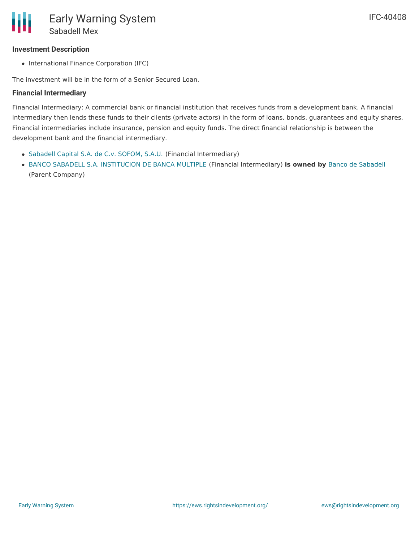#### **Investment Description**

• International Finance Corporation (IFC)

The investment will be in the form of a Senior Secured Loan.

#### **Financial Intermediary**

Financial Intermediary: A commercial bank or financial institution that receives funds from a development bank. A financial intermediary then lends these funds to their clients (private actors) in the form of loans, bonds, guarantees and equity shares. Financial intermediaries include insurance, pension and equity funds. The direct financial relationship is between the development bank and the financial intermediary.

- [Sabadell](file:///actor/1043/) Capital S.A. de C.v. SOFOM, S.A.U. (Financial Intermediary)
- BANCO SABADELL S.A. [INSTITUCION](file:///actor/3957/) DE BANCA MULTIPLE (Financial Intermediary) **is owned by** Banco de [Sabadell](file:///actor/3981/) (Parent Company)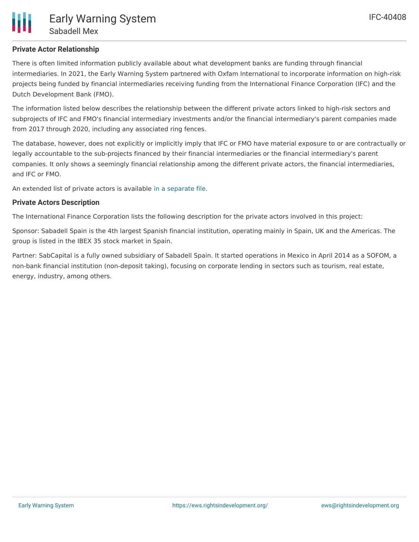## **Private Actor Relationship**

There is often limited information publicly available about what development banks are funding through financial intermediaries. In 2021, the Early Warning System partnered with Oxfam International to incorporate information on high-risk projects being funded by financial intermediaries receiving funding from the International Finance Corporation (IFC) and the Dutch Development Bank (FMO).

The information listed below describes the relationship between the different private actors linked to high-risk sectors and subprojects of IFC and FMO's financial intermediary investments and/or the financial intermediary's parent companies made from 2017 through 2020, including any associated ring fences.

The database, however, does not explicitly or implicitly imply that IFC or FMO have material exposure to or are contractually or legally accountable to the sub-projects financed by their financial intermediaries or the financial intermediary's parent companies. It only shows a seemingly financial relationship among the different private actors, the financial intermediaries, and IFC or FMO.

An extended list of private actors is available in a [separate](https://docs.google.com/spreadsheets/d/1iN4Ubci6wMDMXW5_wTMm3uyq0wzKFfygOYh3Q9Ezd4I/edit?usp=sharing) file.

## **Private Actors Description**

The International Finance Corporation lists the following description for the private actors involved in this project:

Sponsor: Sabadell Spain is the 4th largest Spanish financial institution, operating mainly in Spain, UK and the Americas. The group is listed in the IBEX 35 stock market in Spain.

Partner: SabCapital is a fully owned subsidiary of Sabadell Spain. It started operations in Mexico in April 2014 as a SOFOM, a non-bank financial institution (non-deposit taking), focusing on corporate lending in sectors such as tourism, real estate, energy, industry, among others.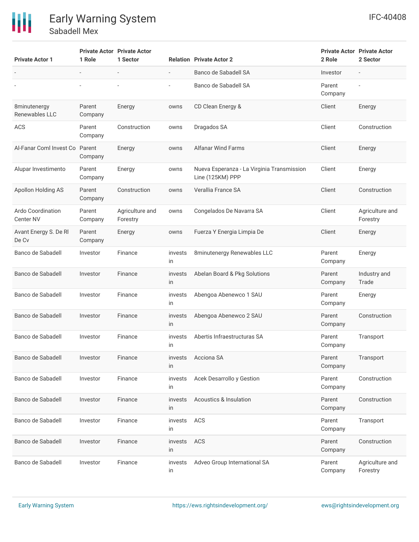

| <b>Private Actor 1</b>                       | 1 Role            | <b>Private Actor Private Actor</b><br>1 Sector |                          | <b>Relation Private Actor 2</b>                                | <b>Private Actor Private Actor</b><br>2 Role | 2 Sector                    |
|----------------------------------------------|-------------------|------------------------------------------------|--------------------------|----------------------------------------------------------------|----------------------------------------------|-----------------------------|
|                                              |                   |                                                | $\overline{\phantom{m}}$ | Banco de Sabadell SA                                           | Investor                                     | $\overline{a}$              |
|                                              |                   |                                                |                          | Banco de Sabadell SA                                           | Parent<br>Company                            |                             |
| 8minutenergy<br>Renewables LLC               | Parent<br>Company | Energy                                         | owns                     | CD Clean Energy &                                              | Client                                       | Energy                      |
| <b>ACS</b>                                   | Parent<br>Company | Construction                                   | owns                     | Dragados SA                                                    | Client                                       | Construction                |
| Al-Fanar Coml Invest Co                      | Parent<br>Company | Energy                                         | owns                     | <b>Alfanar Wind Farms</b>                                      | Client                                       | Energy                      |
| Alupar Investimento                          | Parent<br>Company | Energy                                         | owns                     | Nueva Esperanza - La Virginia Transmission<br>Line (125KM) PPP | Client                                       | Energy                      |
| Apollon Holding AS                           | Parent<br>Company | Construction                                   | owns                     | Verallia France SA                                             | Client                                       | Construction                |
| <b>Ardo Coordination</b><br><b>Center NV</b> | Parent<br>Company | Agriculture and<br>Forestry                    | owns                     | Congelados De Navarra SA                                       | Client                                       | Agriculture and<br>Forestry |
| Avant Energy S. De RI<br>De Cv               | Parent<br>Company | Energy                                         | owns                     | Fuerza Y Energia Limpia De                                     | Client                                       | Energy                      |
| Banco de Sabadell                            | Investor          | Finance                                        | invests<br>in            | 8minutenergy Renewables LLC                                    | Parent<br>Company                            | Energy                      |
| Banco de Sabadell                            | Investor          | Finance                                        | invests<br>in            | Abelan Board & Pkg Solutions                                   | Parent<br>Company                            | Industry and<br>Trade       |
| Banco de Sabadell                            | Investor          | Finance                                        | invests<br>in            | Abengoa Abenewco 1 SAU                                         | Parent<br>Company                            | Energy                      |
| Banco de Sabadell                            | Investor          | Finance                                        | invests<br>in            | Abengoa Abenewco 2 SAU                                         | Parent<br>Company                            | Construction                |
| Banco de Sabadell                            | Investor          | Finance                                        | invests<br>in            | Abertis Infraestructuras SA                                    | Parent<br>Company                            | Transport                   |
| Banco de Sabadell                            | Investor          | Finance                                        | invests<br>in            | Acciona SA                                                     | Parent<br>Company                            | Transport                   |
| Banco de Sabadell                            | Investor          | Finance                                        | invests<br>in            | Acek Desarrollo y Gestion                                      | Parent<br>Company                            | Construction                |
| Banco de Sabadell                            | Investor          | Finance                                        | invests<br>in            | <b>Acoustics &amp; Insulation</b>                              | Parent<br>Company                            | Construction                |
| Banco de Sabadell                            | Investor          | Finance                                        | invests<br>in            | ACS                                                            | Parent<br>Company                            | Transport                   |
| Banco de Sabadell                            | Investor          | Finance                                        | invests<br>in            | ACS                                                            | Parent<br>Company                            | Construction                |
| Banco de Sabadell                            | Investor          | Finance                                        | invests<br>in            | Adveo Group International SA                                   | Parent<br>Company                            | Agriculture and<br>Forestry |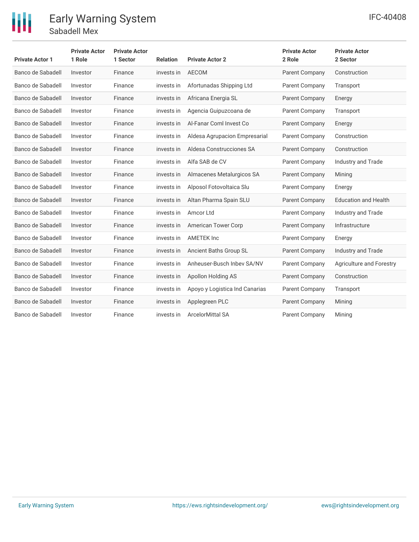

| <b>Private Actor 1</b> | <b>Private Actor</b><br>1 Role | <b>Private Actor</b><br>1 Sector | <b>Relation</b> | <b>Private Actor 2</b>         | <b>Private Actor</b><br>2 Role | <b>Private Actor</b><br>2 Sector |
|------------------------|--------------------------------|----------------------------------|-----------------|--------------------------------|--------------------------------|----------------------------------|
| Banco de Sabadell      | Investor                       | Finance                          | invests in      | <b>AECOM</b>                   | Parent Company                 | Construction                     |
| Banco de Sabadell      | Investor                       | Finance                          | invests in      | Afortunadas Shipping Ltd       | Parent Company                 | Transport                        |
| Banco de Sabadell      | Investor                       | Finance                          | invests in      | Africana Energia SL            | Parent Company                 | Energy                           |
| Banco de Sabadell      | Investor                       | Finance                          | invests in      | Agencia Guipuzcoana de         | Parent Company                 | Transport                        |
| Banco de Sabadell      | Investor                       | Finance                          | invests in      | Al-Fanar Coml Invest Co        | Parent Company                 | Energy                           |
| Banco de Sabadell      | Investor                       | Finance                          | invests in      | Aldesa Agrupacion Empresarial  | Parent Company                 | Construction                     |
| Banco de Sabadell      | Investor                       | Finance                          | invests in      | Aldesa Construcciones SA       | Parent Company                 | Construction                     |
| Banco de Sabadell      | Investor                       | Finance                          | invests in      | Alfa SAB de CV                 | Parent Company                 | <b>Industry and Trade</b>        |
| Banco de Sabadell      | Investor                       | Finance                          | invests in      | Almacenes Metalurgicos SA      | Parent Company                 | Mining                           |
| Banco de Sabadell      | Investor                       | Finance                          | invests in      | Alposol Fotovoltaica Slu       | Parent Company                 | Energy                           |
| Banco de Sabadell      | Investor                       | Finance                          | invests in      | Altan Pharma Spain SLU         | Parent Company                 | <b>Education and Health</b>      |
| Banco de Sabadell      | Investor                       | Finance                          | invests in      | Amcor Ltd                      | Parent Company                 | Industry and Trade               |
| Banco de Sabadell      | Investor                       | Finance                          | invests in      | American Tower Corp            | Parent Company                 | Infrastructure                   |
| Banco de Sabadell      | Investor                       | Finance                          | invests in      | <b>AMETEK Inc</b>              | Parent Company                 | Energy                           |
| Banco de Sabadell      | Investor                       | Finance                          | invests in      | Ancient Baths Group SL         | Parent Company                 | Industry and Trade               |
| Banco de Sabadell      | Investor                       | Finance                          | invests in      | Anheuser-Busch Inbey SA/NV     | Parent Company                 | Agriculture and Forestry         |
| Banco de Sabadell      | Investor                       | Finance                          | invests in      | Apollon Holding AS             | Parent Company                 | Construction                     |
| Banco de Sabadell      | Investor                       | Finance                          | invests in      | Apoyo y Logistica Ind Canarias | Parent Company                 | Transport                        |
| Banco de Sabadell      | Investor                       | Finance                          | invests in      | Applegreen PLC                 | Parent Company                 | Mining                           |
| Banco de Sabadell      | Investor                       | Finance                          | invests in      | <b>ArcelorMittal SA</b>        | Parent Company                 | Mining                           |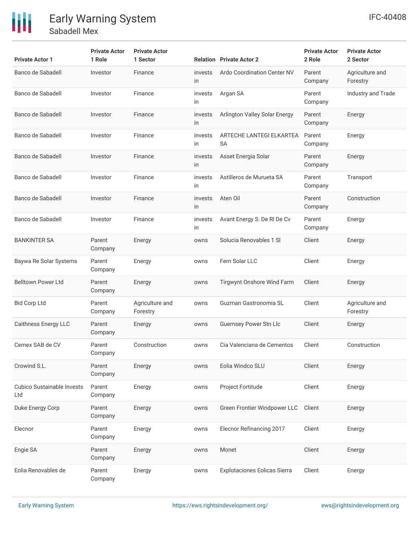# 冊

| <b>Private Actor 1</b>                   | <b>Private Actor</b><br>1 Role | <b>Private Actor</b><br>1 Sector |               | <b>Relation</b> Private Actor 2       | <b>Private Actor</b><br>2 Role | <b>Private Actor</b><br>2 Sector |
|------------------------------------------|--------------------------------|----------------------------------|---------------|---------------------------------------|--------------------------------|----------------------------------|
| Banco de Sabadell                        | Investor                       | Finance                          | invests<br>in | <b>Ardo Coordination Center NV</b>    | Parent<br>Company              | Agriculture and<br>Forestry      |
| Banco de Sabadell                        | Investor                       | Finance                          | invests<br>in | Argan SA                              | Parent<br>Company              | Industry and Trade               |
| Banco de Sabadell                        | Investor                       | Finance                          | invests<br>in | Arlington Valley Solar Energy         | Parent<br>Company              | Energy                           |
| Banco de Sabadell                        | Investor                       | Finance                          | invests<br>in | ARTECHE LANTEGI ELKARTEA<br><b>SA</b> | Parent<br>Company              | Energy                           |
| Banco de Sabadell                        | Investor                       | Finance                          | invests<br>in | Asset Energia Solar                   | Parent<br>Company              | Energy                           |
| Banco de Sabadell                        | Investor                       | Finance                          | invests<br>in | Astilleros de Murueta SA              | Parent<br>Company              | Transport                        |
| Banco de Sabadell                        | Investor                       | Finance                          | invests<br>in | Aten Oil                              | Parent<br>Company              | Construction                     |
| Banco de Sabadell                        | Investor                       | Finance                          | invests<br>in | Avant Energy S. De RI De Cv           | Parent<br>Company              | Energy                           |
| <b>BANKINTER SA</b>                      | Parent<br>Company              | Energy                           | owns          | Solucia Renovables 1 SI               | Client                         | Energy                           |
| Baywa Re Solar Systems                   | Parent<br>Company              | Energy                           | owns          | Fern Solar LLC                        | Client                         | Energy                           |
| <b>Belltown Power Ltd</b>                | Parent<br>Company              | Energy                           | owns          | Tirgwynt Onshore Wind Farm            | Client                         | Energy                           |
| <b>Bid Corp Ltd</b>                      | Parent<br>Company              | Agriculture and<br>Forestry      | owns          | Guzman Gastronomia SL                 | Client                         | Agriculture and<br>Forestry      |
| <b>Caithness Energy LLC</b>              | Parent<br>Company              | Energy                           | owns          | <b>Guernsey Power Stn Llc</b>         | Client                         | Energy                           |
| Cemex SAB de CV                          | Parent<br>Company              | Construction                     | owns          | Cia Valenciana de Cementos            | Client                         | Construction                     |
| Crowind S.L.                             | Parent<br>Company              | Energy                           | owns          | Eolia Windco SLU                      | Client                         | Energy                           |
| <b>Cubico Sustainable Invests</b><br>Ltd | Parent<br>Company              | Energy                           | owns          | Project Fortitude                     | Client                         | Energy                           |
| Duke Energy Corp                         | Parent<br>Company              | Energy                           | owns          | Green Frontier Windpower LLC          | Client                         | Energy                           |
| Elecnor                                  | Parent<br>Company              | Energy                           | owns          | Elecnor Refinancing 2017              | Client                         | Energy                           |
| Engie SA                                 | Parent<br>Company              | Energy                           | owns          | Monet                                 | Client                         | Energy                           |
| Eolia Renovables de                      | Parent<br>Company              | Energy                           | owns          | <b>Explotaciones Eolicas Sierra</b>   | Client                         | Energy                           |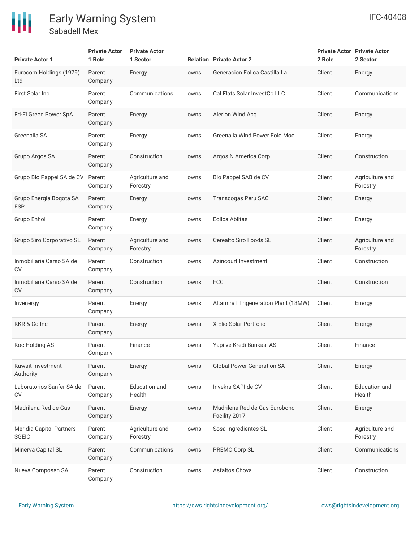

| <b>Private Actor 1</b>                   | <b>Private Actor</b><br>1 Role | <b>Private Actor</b><br>1 Sector |      | <b>Relation Private Actor 2</b>                | 2 Role | <b>Private Actor Private Actor</b><br>2 Sector |
|------------------------------------------|--------------------------------|----------------------------------|------|------------------------------------------------|--------|------------------------------------------------|
| Eurocom Holdings (1979)<br>Ltd           | Parent<br>Company              | Energy                           | owns | Generacion Eolica Castilla La                  | Client | Energy                                         |
| First Solar Inc                          | Parent<br>Company              | Communications                   | owns | Cal Flats Solar InvestCo LLC                   | Client | Communications                                 |
| Fri-El Green Power SpA                   | Parent<br>Company              | Energy                           | owns | Alerion Wind Acq                               | Client | Energy                                         |
| Greenalia SA                             | Parent<br>Company              | Energy                           | owns | Greenalia Wind Power Eolo Moc                  | Client | Energy                                         |
| Grupo Argos SA                           | Parent<br>Company              | Construction                     | owns | Argos N America Corp                           | Client | Construction                                   |
| Grupo Bio Pappel SA de CV                | Parent<br>Company              | Agriculture and<br>Forestry      | owns | Bio Pappel SAB de CV                           | Client | Agriculture and<br>Forestry                    |
| Grupo Energia Bogota SA<br><b>ESP</b>    | Parent<br>Company              | Energy                           | owns | Transcogas Peru SAC                            | Client | Energy                                         |
| Grupo Enhol                              | Parent<br>Company              | Energy                           | owns | Eolica Ablitas                                 | Client | Energy                                         |
| Grupo Siro Corporativo SL                | Parent<br>Company              | Agriculture and<br>Forestry      | owns | Cerealto Siro Foods SL                         | Client | Agriculture and<br>Forestry                    |
| Inmobiliaria Carso SA de<br><b>CV</b>    | Parent<br>Company              | Construction                     | owns | Azincourt Investment                           | Client | Construction                                   |
| Inmobiliaria Carso SA de<br>CV           | Parent<br>Company              | Construction                     | owns | <b>FCC</b>                                     | Client | Construction                                   |
| Invenergy                                | Parent<br>Company              | Energy                           | owns | Altamira I Trigeneration Plant (18MW)          | Client | Energy                                         |
| KKR & Co Inc                             | Parent<br>Company              | Energy                           | owns | X-Elio Solar Portfolio                         | Client | Energy                                         |
| Koc Holding AS                           | Parent<br>Company              | Finance                          | owns | Yapi ve Kredi Bankasi AS                       | Client | Finance                                        |
| Kuwait Investment<br>Authority           | Parent<br>Company              | Energy                           | owns | <b>Global Power Generation SA</b>              | Client | Energy                                         |
| Laboratorios Sanfer SA de<br><b>CV</b>   | Parent<br>Company              | <b>Education</b> and<br>Health   | owns | Invekra SAPI de CV                             | Client | <b>Education</b> and<br>Health                 |
| Madrilena Red de Gas                     | Parent<br>Company              | Energy                           | owns | Madrilena Red de Gas Eurobond<br>Facility 2017 | Client | Energy                                         |
| Meridia Capital Partners<br><b>SGEIC</b> | Parent<br>Company              | Agriculture and<br>Forestry      | owns | Sosa Ingredientes SL                           | Client | Agriculture and<br>Forestry                    |
| Minerva Capital SL                       | Parent<br>Company              | Communications                   | owns | PREMO Corp SL                                  | Client | Communications                                 |
| Nueva Composan SA                        | Parent<br>Company              | Construction                     | owns | Asfaltos Chova                                 | Client | Construction                                   |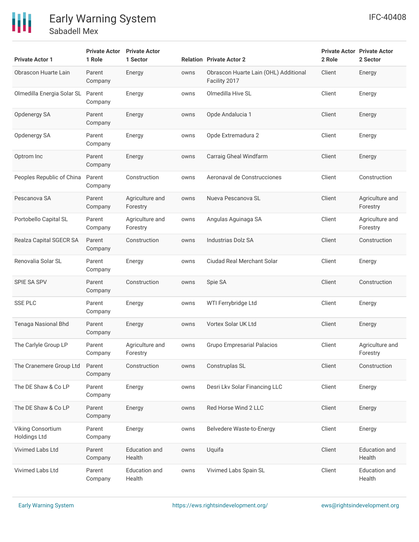# 冊

Early Warning System

Sabadell Mex

| <b>Private Actor 1</b>                   | <b>Private Actor</b><br>1 Role | <b>Private Actor</b><br>1 Sector |      | <b>Relation Private Actor 2</b>                        | <b>Private Actor Private Actor</b><br>2 Role | 2 Sector                       |
|------------------------------------------|--------------------------------|----------------------------------|------|--------------------------------------------------------|----------------------------------------------|--------------------------------|
| Obrascon Huarte Lain                     | Parent<br>Company              | Energy                           | owns | Obrascon Huarte Lain (OHL) Additional<br>Facility 2017 | Client                                       | Energy                         |
| Olmedilla Energia Solar SL               | Parent<br>Company              | Energy                           | owns | Olmedilla Hive SL                                      | Client                                       | Energy                         |
| Opdenergy SA                             | Parent<br>Company              | Energy                           | owns | Opde Andalucia 1                                       | Client                                       | Energy                         |
| Opdenergy SA                             | Parent<br>Company              | Energy                           | owns | Opde Extremadura 2                                     | Client                                       | Energy                         |
| Optrom Inc                               | Parent<br>Company              | Energy                           | owns | Carraig Gheal Windfarm                                 | Client                                       | Energy                         |
| Peoples Republic of China                | Parent<br>Company              | Construction                     | owns | Aeronaval de Construcciones                            | Client                                       | Construction                   |
| Pescanova SA                             | Parent<br>Company              | Agriculture and<br>Forestry      | owns | Nueva Pescanova SL                                     | Client                                       | Agriculture and<br>Forestry    |
| Portobello Capital SL                    | Parent<br>Company              | Agriculture and<br>Forestry      | owns | Angulas Aguinaga SA                                    | Client                                       | Agriculture and<br>Forestry    |
| Realza Capital SGECR SA                  | Parent<br>Company              | Construction                     | owns | <b>Industrias Dolz SA</b>                              | Client                                       | Construction                   |
| Renovalia Solar SL                       | Parent<br>Company              | Energy                           | owns | <b>Ciudad Real Merchant Solar</b>                      | Client                                       | Energy                         |
| SPIE SA SPV                              | Parent<br>Company              | Construction                     | owns | Spie SA                                                | Client                                       | Construction                   |
| <b>SSE PLC</b>                           | Parent<br>Company              | Energy                           | owns | WTI Ferrybridge Ltd                                    | Client                                       | Energy                         |
| Tenaga Nasional Bhd                      | Parent<br>Company              | Energy                           | owns | Vortex Solar UK Ltd                                    | Client                                       | Energy                         |
| The Carlyle Group LP                     | Parent<br>Company              | Agriculture and<br>Forestry      | owns | <b>Grupo Empresarial Palacios</b>                      | Client                                       | Agriculture and<br>Forestry    |
| The Cranemere Group Ltd                  | Parent<br>Company              | Construction                     | owns | Construplas SL                                         | Client                                       | Construction                   |
| The DE Shaw & Co LP                      | Parent<br>Company              | Energy                           | owns | Desri Lkv Solar Financing LLC                          | Client                                       | Energy                         |
| The DE Shaw & Co LP                      | Parent<br>Company              | Energy                           | owns | Red Horse Wind 2 LLC                                   | Client                                       | Energy                         |
| Viking Consortium<br><b>Holdings Ltd</b> | Parent<br>Company              | Energy                           | owns | Belvedere Waste-to-Energy                              | Client                                       | Energy                         |
| Vivimed Labs Ltd                         | Parent<br>Company              | <b>Education</b> and<br>Health   | owns | Uquifa                                                 | Client                                       | <b>Education</b> and<br>Health |
| Vivimed Labs Ltd                         | Parent<br>Company              | <b>Education</b> and<br>Health   | owns | Vivimed Labs Spain SL                                  | Client                                       | <b>Education</b> and<br>Health |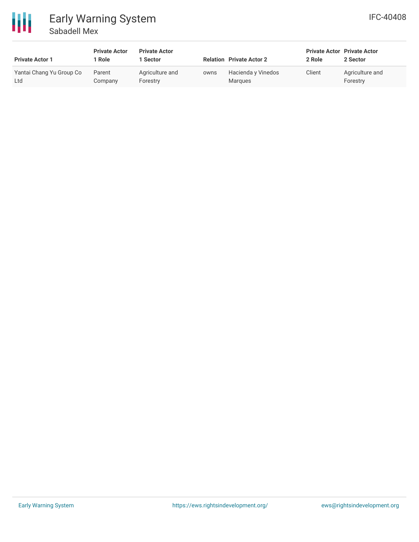

| <b>Private Actor 1</b>          | <b>Private Actor</b><br>  Role | <b>Private Actor</b><br><b>Sector</b> |      | <b>Relation Private Actor 2</b> | <b>Private Actor Private Actor</b><br>2 Role | 2 Sector                    |
|---------------------------------|--------------------------------|---------------------------------------|------|---------------------------------|----------------------------------------------|-----------------------------|
| Yantai Chang Yu Group Co<br>Ltd | Parent<br>Company              | Agriculture and<br>Forestry           | owns | Hacienda y Vinedos<br>Marques   | Client                                       | Agriculture and<br>Forestry |